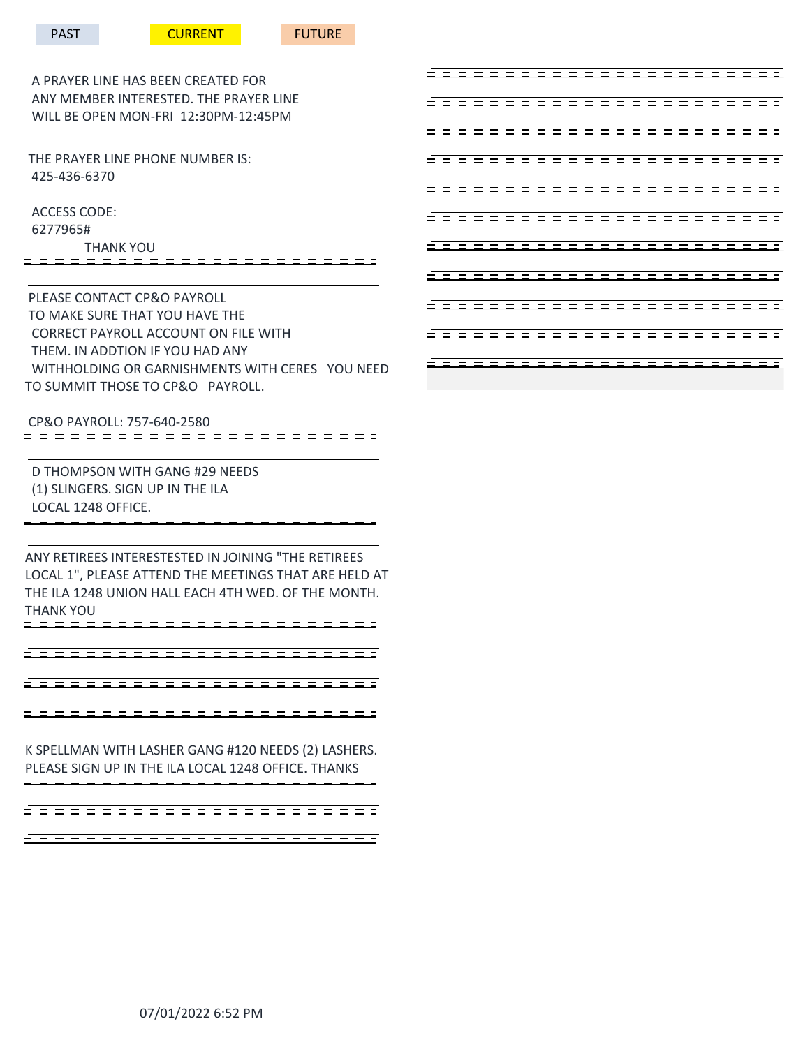A PRAYER LINE HAS BEEN CREATED FOR ANY MEMBER INTERESTED. THE PRAYER LINE WILL BE OPEN MON-FRI 12:30PM-12:45PM

 THE PRAYER LINE PHONE NUMBER IS: 425-436-6370

 ACCESS CODE: 6277965# THANK YOU

 PLEASE CONTACT CP&O PAYROLL TO MAKE SURE THAT YOU HAVE THE CORRECT PAYROLL ACCOUNT ON FILE WITH THEM. IN ADDTION IF YOU HAD ANY WITHHOLDING OR GARNISHMENTS WITH CERES YOU NEED TO SUMMIT THOSE TO CP&O PAYROLL.

CP&O PAYROLL: 757-640-2580

 D THOMPSON WITH GANG #29 NEEDS (1) SLINGERS. SIGN UP IN THE ILA LOCAL 1248 OFFICE.

ANY RETIREES INTERESTESTED IN JOINING "THE RETIREES LOCAL 1", PLEASE ATTEND THE MEETINGS THAT ARE HELD AT THE ILA 1248 UNION HALL EACH 4TH WED. OF THE MONTH. THANK YOU

\_\_\_\_\_\_\_\_\_\_\_\_\_\_\_\_\_\_\_\_\_\_\_\_

<u>=====================</u>

\_\_\_\_\_\_\_\_\_\_\_\_\_\_\_\_\_\_\_\_\_\_\_

K SPELLMAN WITH LASHER GANG #120 NEEDS (2) LASHERS. PLEASE SIGN UP IN THE ILA LOCAL 1248 OFFICE. THANKS

- - - - - - - - - - - - - - -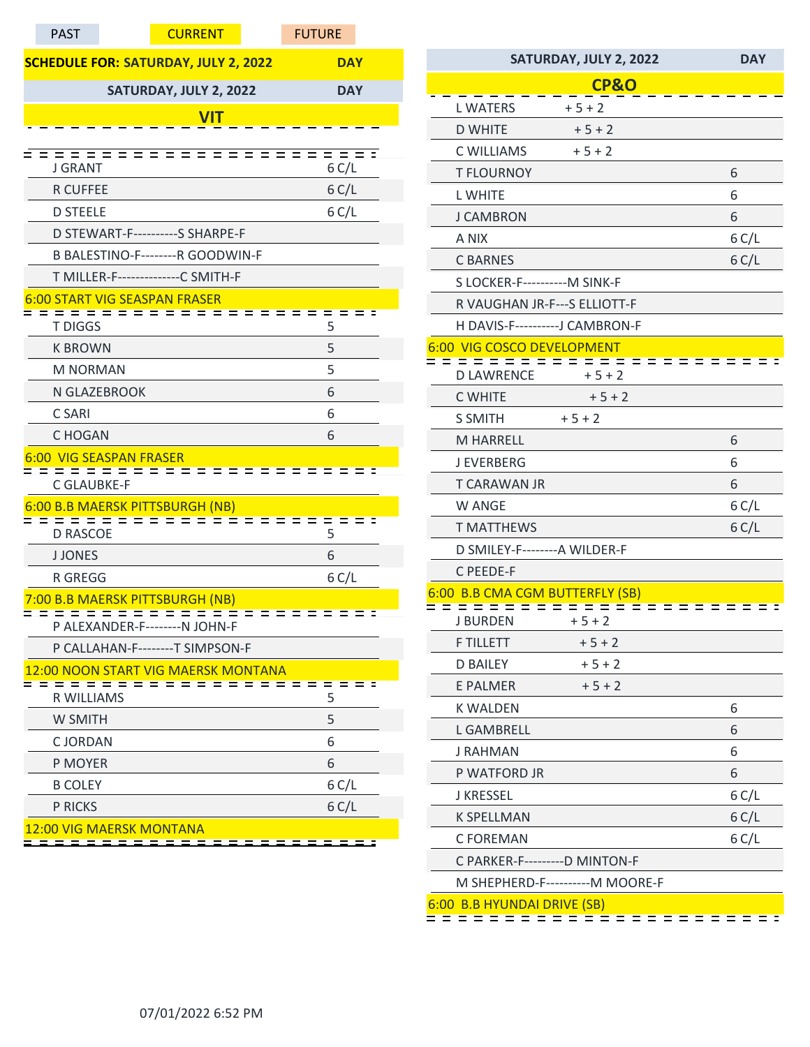| <b>PAST</b>                    | <b>CURRENT</b>                              | <b>FUTURE</b> |
|--------------------------------|---------------------------------------------|---------------|
|                                | <b>SCHEDULE FOR: SATURDAY, JULY 2, 2022</b> | <b>DAY</b>    |
|                                | SATURDAY, JULY 2, 2022                      | <b>DAY</b>    |
|                                | <b>VIT</b>                                  |               |
|                                |                                             |               |
| <b>J GRANT</b>                 |                                             | 6 C/L         |
| <b>R CUFFEE</b>                |                                             | 6 C/L         |
| <b>D STEELE</b>                |                                             | 6 C/L         |
|                                | D STEWART-F----------S SHARPE-F             |               |
|                                | B BALESTINO-F--------R GOODWIN-F            |               |
|                                | T MILLER-F--------------C SMITH-F           |               |
|                                | <b>6:00 START VIG SEASPAN FRASER</b>        |               |
| <b>T DIGGS</b>                 |                                             | 5             |
| <b>K BROWN</b>                 |                                             | 5             |
| <b>M NORMAN</b>                |                                             | 5             |
| N GLAZEBROOK                   |                                             | 6             |
| C SARI                         |                                             | 6             |
| C HOGAN                        |                                             | 6             |
| <b>6:00 VIG SEASPAN FRASER</b> |                                             |               |
| <b>C GLAUBKE-F</b>             |                                             |               |
|                                | 6:00 B.B MAERSK PITTSBURGH (NB)             |               |
| <b>D RASCOE</b>                | =====                                       | 5             |
| <b>J JONES</b>                 |                                             | 6             |
| R GREGG                        |                                             | 6 C/L         |
|                                | 7:00 B.B MAERSK PITTSBURGH (NB)             |               |
|                                | P ALEXANDER-F--------N JOHN-F               |               |
|                                | P CALLAHAN-F--------T SIMPSON-F             |               |
|                                | 12:00 NOON START VIG MAERSK MONTANA         |               |
| R WILLIAMS                     |                                             | 5             |
| W SMITH                        |                                             | 5             |
| <b>CJORDAN</b>                 |                                             | 6             |
| P MOYER                        |                                             | 6             |
| <b>B COLEY</b>                 |                                             | 6 C/L         |
| P RICKS                        |                                             | 6 C/L         |
| 12:00 VIG MAERSK MONTANA       |                                             |               |
|                                |                                             |               |

| SATURDAY, JULY 2, 2022                                | <b>DAY</b> |
|-------------------------------------------------------|------------|
| <b>CP&amp;O</b>                                       |            |
| <b>L WATERS</b><br>$+5+2$                             |            |
| <b>D WHITE</b><br>$+5+2$                              |            |
| C WILLIAMS<br>$+5+2$                                  |            |
| <b>T FLOURNOY</b>                                     | 6          |
| <b>L WHITE</b>                                        | 6          |
| <b>J CAMBRON</b>                                      | 6          |
| A NIX                                                 | 6 C/L      |
| <b>C BARNES</b>                                       | 6 C/L      |
| S LOCKER-F-----------M SINK-F                         |            |
| R VAUGHAN JR-F---S ELLIOTT-F                          |            |
| H DAVIS-F----------J CAMBRON-F                        |            |
| 6:00 VIG COSCO DEVELOPMENT                            |            |
| - = = =<br>= = = = = =<br><b>D LAWRENCE</b><br>$+5+2$ |            |
| $+5+2$<br><b>C WHITE</b>                              |            |
| <b>S SMITH</b><br>$+5+2$                              |            |
| <b>M HARRELL</b>                                      | 6          |
| <b>J EVERBERG</b>                                     | 6          |
| <b>T CARAWAN JR</b>                                   | 6          |
| W ANGE                                                | 6 C/L      |
| <b>T MATTHEWS</b>                                     | 6 C/L      |
| D SMILEY-F--------A WILDER-F                          |            |
| C PEEDE-F                                             |            |
| 6:00 B.B CMA CGM BUTTERFLY (SB)                       |            |
| : = = = = =<br><b>J BURDEN</b><br>$+5+2$              |            |
| <b>F TILLETT</b><br>$+5+2$                            |            |
| <b>D BAILEY</b><br>$+5+2$                             |            |
| $+5+2$<br>E PALMER                                    |            |
| <b>K WALDEN</b>                                       | 6          |
| <b>L GAMBRELL</b>                                     | 6          |
| J RAHMAN                                              | 6          |
| P WATFORD JR                                          | 6          |
| <b>J KRESSEL</b>                                      | 6 C/L      |
| <b>K SPELLMAN</b>                                     | 6 C/L      |
| C FOREMAN                                             | 6 C/L      |
| C PARKER-F---------D MINTON-F                         |            |
| M SHEPHERD-F----------M MOORE-F                       |            |
| 6:00 B.B HYUNDAI DRIVE (SB)<br>: :<br>= =             |            |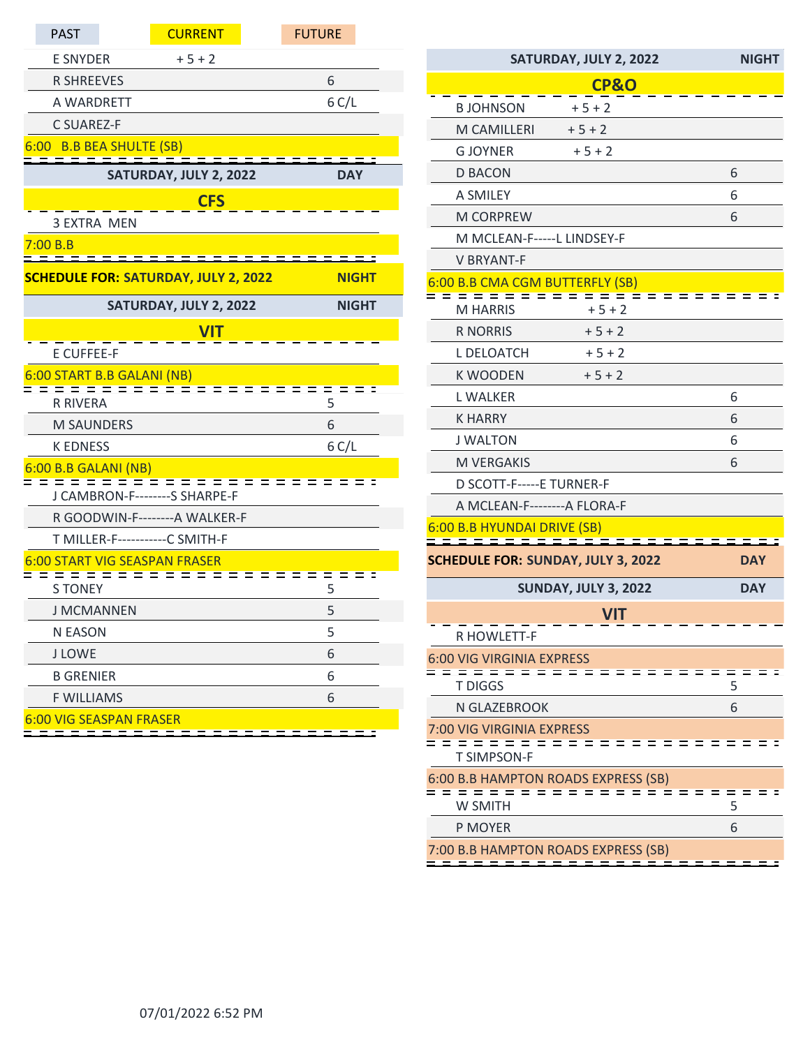| <b>PAST</b>                                 | <b>CURRENT</b>         | <b>FUTURE</b> |  |
|---------------------------------------------|------------------------|---------------|--|
| <b>E SNYDER</b>                             | $+5+2$                 |               |  |
| <b>R SHREEVES</b>                           |                        | 6             |  |
| A WARDRETT                                  |                        | 6 C/L         |  |
| C SUAREZ-F                                  |                        |               |  |
| 6:00 B.B BEA SHULTE (SB)                    |                        |               |  |
|                                             | SATURDAY, JULY 2, 2022 | <b>DAY</b>    |  |
|                                             | <b>CFS</b>             |               |  |
| <b>3 EXTRA MEN</b>                          |                        |               |  |
| 7:00 B.B                                    |                        |               |  |
| <b>SCHEDULE FOR: SATURDAY, JULY 2, 2022</b> |                        | <b>NIGHT</b>  |  |
|                                             | SATURDAY, JULY 2, 2022 | <b>NIGHT</b>  |  |
|                                             | <b>VIT</b>             |               |  |
| <b>E CUFFEE-F</b>                           |                        |               |  |
| 6:00 START B.B GALANI (NB)                  | $ -$                   |               |  |
| <b>R RIVERA</b>                             |                        | 5             |  |
| <b>M SAUNDERS</b>                           |                        | 6             |  |
| <b>K EDNESS</b>                             |                        | 6 C/L         |  |
| 6:00 B.B GALANI (NB)                        |                        |               |  |
| $\equiv$<br>J CAMBRON-F--------S SHARPE-F   |                        |               |  |
| R GOODWIN-F--------- A WALKER-F             |                        |               |  |
| T MILLER-F-----------C SMITH-F              |                        |               |  |
| <b>6:00 START VIG SEASPAN FRASER</b>        |                        |               |  |
| <b>S TONEY</b>                              |                        | 5             |  |
| <b>J MCMANNEN</b>                           |                        | 5             |  |
| <b>N EASON</b>                              |                        | 5             |  |
| <b>J LOWE</b>                               |                        | 6             |  |
| <b>B GRENIER</b>                            |                        | 6             |  |
| <b>F WILLIAMS</b>                           |                        | 6             |  |
| <b>6:00 VIG SEASPAN FRASER</b>              |                        |               |  |

| SATURDAY, JULY 2, 2022                                                           | <b>NIGHT</b> |
|----------------------------------------------------------------------------------|--------------|
| <b>CP&amp;O</b>                                                                  |              |
| <b>BJOHNSON</b><br>$+5+2$                                                        |              |
| M CAMILLERI<br>$+5+2$                                                            |              |
| <b>G JOYNER</b><br>$+5+2$                                                        |              |
| <b>D BACON</b>                                                                   | 6            |
| A SMILEY                                                                         | 6            |
| <b>M CORPREW</b>                                                                 | 6            |
| M MCLEAN-F-----L LINDSEY-F                                                       |              |
| <b>V BRYANT-F</b>                                                                |              |
| 6:00 B.B CMA CGM BUTTERFLY (SB)<br>= = = = = = =<br><del>. 2 2 2</del> 2 2 2 2 2 |              |
| <b>M HARRIS</b><br>$+5+2$                                                        |              |
| <b>R NORRIS</b><br>$+5+2$                                                        |              |
| L DELOATCH<br>$+5+2$                                                             |              |
| <b>K WOODEN</b><br>$+5+2$                                                        |              |
| <b>L WALKER</b>                                                                  | 6            |
| <b>K HARRY</b>                                                                   | 6            |
| <b>J WALTON</b>                                                                  | 6            |
| M VERGAKIS                                                                       | 6            |
| D SCOTT-F-----E TURNER-F                                                         |              |
| A MCLEAN-F---------A FLORA-F                                                     |              |
| 6:00 B.B HYUNDAI DRIVE (SB)                                                      |              |
| <b>SCHEDULE FOR: SUNDAY, JULY 3, 2022</b>                                        | DAY          |
| <b>SUNDAY, JULY 3, 2022</b>                                                      | <b>DAY</b>   |
| VIT                                                                              |              |
| R HOWLETT-F                                                                      |              |
| <b>6:00 VIG VIRGINIA EXPRESS</b>                                                 |              |
| <b>T DIGGS</b>                                                                   | 5            |
| N GLAZEBROOK                                                                     | 6            |
| <b>7:00 VIG VIRGINIA EXPRESS</b>                                                 |              |
| <b>T SIMPSON-F</b>                                                               |              |
| 6:00 B.B HAMPTON ROADS EXPRESS (SB)                                              |              |
| W SMITH                                                                          | 5            |
| P MOYER                                                                          | 6            |
| 7:00 B.B HAMPTON ROADS EXPRESS (SB)                                              |              |
|                                                                                  |              |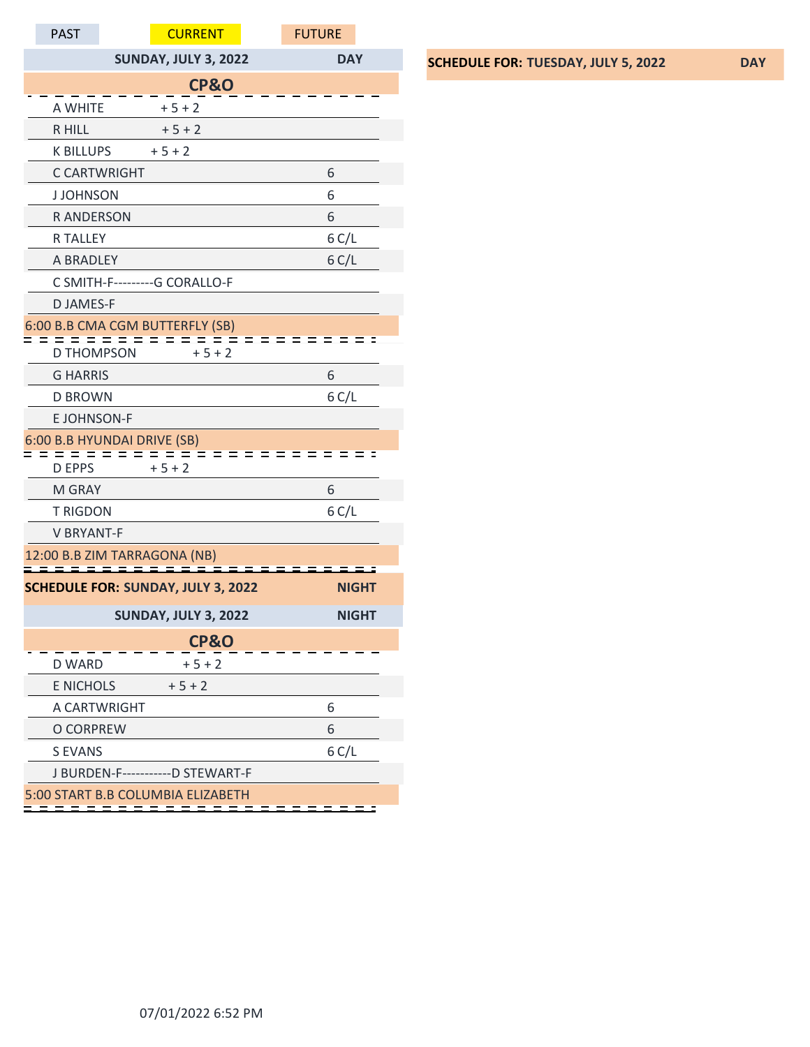| <b>PAST</b>                  |                     | <b>CURRENT</b>                            | <b>FUTURE</b> |  |
|------------------------------|---------------------|-------------------------------------------|---------------|--|
|                              |                     | <b>SUNDAY, JULY 3, 2022</b>               | <b>DAY</b>    |  |
|                              |                     | <b>CP&amp;O</b>                           |               |  |
| A WHITE                      |                     | $+5+2$                                    |               |  |
| R HILL                       |                     | $+5+2$                                    |               |  |
| <b>K BILLUPS</b>             |                     | $+5+2$                                    |               |  |
|                              | <b>C CARTWRIGHT</b> |                                           | 6             |  |
| <b>JJOHNSON</b>              |                     |                                           | 6             |  |
| <b>RANDERSON</b>             |                     |                                           | 6             |  |
| <b>R TALLEY</b>              |                     |                                           | 6 C/L         |  |
| A BRADLEY                    |                     |                                           | 6 C/L         |  |
|                              |                     | C SMITH-F----------G CORALLO-F            |               |  |
| <b>DJAMES-F</b>              |                     |                                           |               |  |
|                              |                     | 6:00 B.B CMA CGM BUTTERFLY (SB)           | = =           |  |
| <b>D THOMPSON</b>            |                     | $+5+2$                                    |               |  |
| <b>G HARRIS</b>              |                     |                                           | 6             |  |
| <b>D BROWN</b>               |                     |                                           | 6 C/L         |  |
| <b>EJOHNSON-F</b>            |                     |                                           |               |  |
| 6:00 B.B HYUNDAI DRIVE (SB)  |                     |                                           |               |  |
| <b>D EPPS</b>                |                     | $+5+2$                                    |               |  |
| M GRAY                       |                     |                                           | 6             |  |
| <b>T RIGDON</b>              |                     |                                           | 6 C/L         |  |
| <b>V BRYANT-F</b>            |                     |                                           |               |  |
| 12:00 B.B ZIM TARRAGONA (NB) |                     |                                           |               |  |
|                              |                     | <b>SCHEDULE FOR: SUNDAY, JULY 3, 2022</b> | <b>NIGHT</b>  |  |
|                              |                     | <b>SUNDAY, JULY 3, 2022</b>               | <b>NIGHT</b>  |  |
| <b>CP&amp;O</b>              |                     |                                           |               |  |
| <b>D WARD</b>                |                     | $+5+2$                                    |               |  |
| <b>E NICHOLS</b>             |                     | $+5+2$                                    |               |  |
|                              | A CARTWRIGHT        |                                           | 6             |  |
| O CORPREW                    |                     |                                           | 6             |  |
| <b>S EVANS</b>               |                     |                                           | 6 C/L         |  |
|                              |                     | J BURDEN-F------------D STEWART-F         |               |  |
|                              |                     | 5:00 START B.B COLUMBIA ELIZABETH         |               |  |

## **SCHEDULE FOR: TUESDAY, JULY 5, 2022 DAY**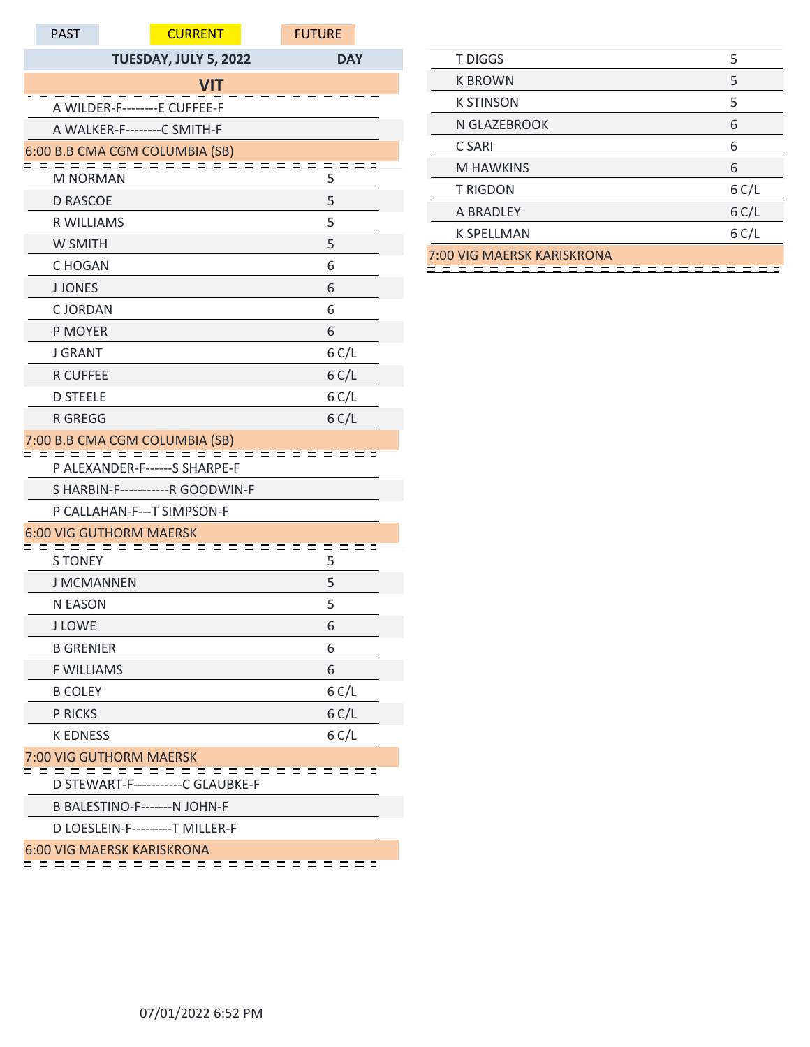| <b>PAST</b>       | <b>CURRENT</b>                        | <b>FUTURE</b> |
|-------------------|---------------------------------------|---------------|
|                   | TUESDAY, JULY 5, 2022                 | <b>DAY</b>    |
|                   | <b>VIT</b>                            |               |
|                   | A WILDER-F--------E CUFFEE-F          |               |
|                   | A WALKER-F--------C SMITH-F           |               |
|                   | 6:00 B.B CMA CGM COLUMBIA (SB)        |               |
| <b>M NORMAN</b>   |                                       | 5             |
| <b>D RASCOE</b>   |                                       | 5             |
| <b>R WILLIAMS</b> |                                       | 5             |
| W SMITH           |                                       | 5             |
| C HOGAN           |                                       | 6             |
| <b>J JONES</b>    |                                       | 6             |
| <b>CJORDAN</b>    |                                       | 6             |
| P MOYER           |                                       | 6             |
| <b>J GRANT</b>    |                                       | 6 C/L         |
| <b>R CUFFEE</b>   |                                       | 6 C/L         |
| <b>D STEELE</b>   |                                       | 6 C/L         |
| <b>R GREGG</b>    |                                       | 6 C/L         |
|                   | 7:00 B.B CMA CGM COLUMBIA (SB)        |               |
|                   | P ALEXANDER-F------S SHARPE-F         |               |
|                   | S HARBIN-F------------R GOODWIN-F     |               |
|                   | P CALLAHAN-F---T SIMPSON-F            |               |
|                   | <b>6:00 VIG GUTHORM MAERSK</b><br>- 2 |               |
| <b>S TONEY</b>    |                                       | 5             |
| <b>J MCMANNEN</b> |                                       | 5             |
| N EASON           |                                       | 5             |
| <b>J LOWE</b>     |                                       | 6             |
| <b>B GRENIER</b>  |                                       | 6             |
| <b>F WILLIAMS</b> |                                       | 6             |
| <b>B COLEY</b>    |                                       | 6 C/L         |
| <b>P RICKS</b>    |                                       | 6 C/L         |
| <b>K EDNESS</b>   |                                       | 6 C/L         |
|                   | 7:00 VIG GUTHORM MAERSK               | = = =         |
|                   | D STEWART-F-----------C GLAUBKE-F     |               |
|                   | B BALESTINO-F-------N JOHN-F          |               |
|                   | D LOESLEIN-F---------T MILLER-F       |               |
|                   | <b>6:00 VIG MAERSK KARISKRONA</b>     |               |

| <b>T DIGGS</b>             | 5     |
|----------------------------|-------|
| <b>K BROWN</b>             | 5     |
| <b>K STINSON</b>           | 5     |
| N GLAZEBROOK               | 6     |
| C SARI                     | 6     |
| <b>M HAWKINS</b>           | 6     |
| <b>T RIGDON</b>            | 6 C/L |
| A BRADLEY                  | 6 C/L |
| <b>K SPELLMAN</b>          | 6 C/L |
| 7:00 VIG MAERSK KARISKRONA |       |
|                            |       |